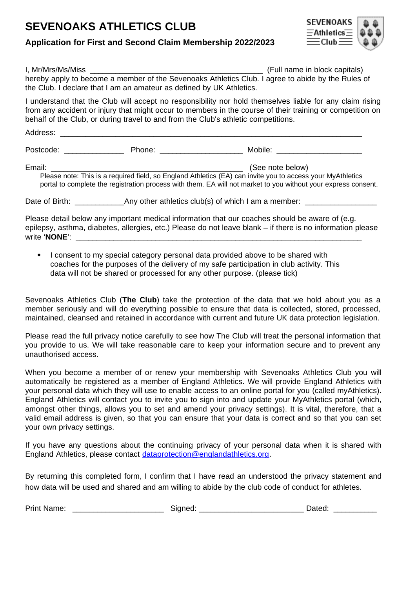### **SEVENOAKS ATHLETICS CLUB**





| I, Mr/Mrs/Ms/Miss                                                                                 | (Full name in block capitals) |
|---------------------------------------------------------------------------------------------------|-------------------------------|
| hereby apply to become a member of the Sevenoaks Athletics Club. I agree to abide by the Rules of |                               |
| the Club. I declare that I am an amateur as defined by UK Athletics.                              |                               |

I understand that the Club will accept no responsibility nor hold themselves liable for any claim rising from any accident or injury that might occur to members in the course of their training or competition on behalf of the Club, or during travel to and from the Club's athletic competitions.

| Address:                                                                                                                                                                                                                               |                                                                                                                                                                                                                                |                                                                                                 |  |
|----------------------------------------------------------------------------------------------------------------------------------------------------------------------------------------------------------------------------------------|--------------------------------------------------------------------------------------------------------------------------------------------------------------------------------------------------------------------------------|-------------------------------------------------------------------------------------------------|--|
| Postcode: and the postcode:                                                                                                                                                                                                            | Phone: the contract of the contract of the contract of the contract of the contract of the contract of the contract of the contract of the contract of the contract of the contract of the contract of the contract of the con | Mobile:                                                                                         |  |
| Email:<br>Please note: This is a required field, so England Athletics (EA) can invite you to access your MyAthletics<br>portal to complete the registration process with them. EA will not market to you without your express consent. |                                                                                                                                                                                                                                | (See note below)                                                                                |  |
| Date of Birth:                                                                                                                                                                                                                         |                                                                                                                                                                                                                                | Any other athletics club(s) of which I am a member:                                             |  |
|                                                                                                                                                                                                                                        |                                                                                                                                                                                                                                | Dlogge detail helpw any impertant medical information that our escapes should be quere of (e.g. |  |

Please detail below any important medical information that our coaches should be aware of (e.g. epilepsy, asthma, diabetes, allergies, etc.) Please do not leave blank – if there is no information please write 'NONE':

 I consent to my special category personal data provided above to be shared with coaches for the purposes of the delivery of my safe participation in club activity. This data will not be shared or processed for any other purpose. (please tick)

Sevenoaks Athletics Club (**The Club**) take the protection of the data that we hold about you as a member seriously and will do everything possible to ensure that data is collected, stored, processed, maintained, cleansed and retained in accordance with current and future UK data protection legislation.

Please read the full privacy notice carefully to see how The Club will treat the personal information that you provide to us. We will take reasonable care to keep your information secure and to prevent any unauthorised access.

When you become a member of or renew your membership with Sevenoaks Athletics Club you will automatically be registered as a member of England Athletics. We will provide England Athletics with your personal data which they will use to enable access to an online portal for you (called myAthletics). England Athletics will contact you to invite you to sign into and update your MyAthletics portal (which, amongst other things, allows you to set and amend your privacy settings). It is vital, therefore, that a valid email address is given, so that you can ensure that your data is correct and so that you can set your own privacy settings.

If you have any questions about the continuing privacy of your personal data when it is shared with England Athletics, please contact [dataprotection@englandathletics.org](mailto:dataprotection@englandathletics.org).

By returning this completed form, I confirm that I have read an understood the privacy statement and how data will be used and shared and am willing to abide by the club code of conduct for athletes.

| <b>Print Name:</b> | hatari |
|--------------------|--------|
| Sianed:            | Uditu. |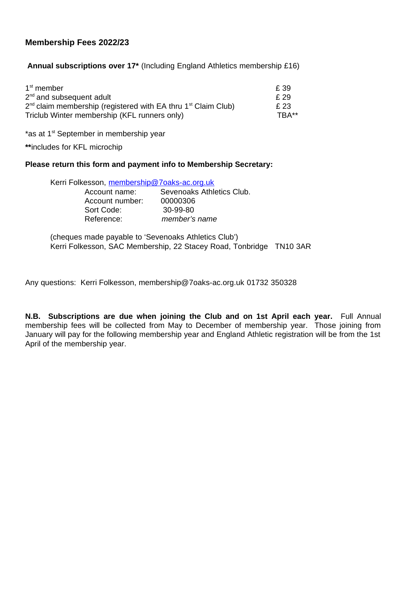#### **Membership Fees 2022/23**

**Annual subscriptions over 17\*** (Including England Athletics membership £16)

| $1st$ member                                                            | f. 39 |
|-------------------------------------------------------------------------|-------|
| $2nd$ and subsequent adult                                              | f. 29 |
| $2^{nd}$ claim membership (registered with EA thru $1^{st}$ Claim Club) | £ 23  |
| Triclub Winter membership (KFL runners only)                            | TRA** |

\*as at  $1<sup>st</sup>$  September in membership year

**\*\***includes for KFL microchip

#### **Please return this form and payment info to Membership Secretary:**

| Kerri Folkesson, <u>membership@7oaks-ac.orq.uk</u> |                           |  |
|----------------------------------------------------|---------------------------|--|
| Account name:                                      | Sevenoaks Athletics Club. |  |
| Account number:                                    | 00000306                  |  |
| Sort Code:                                         | 30-99-80                  |  |
| Reference:                                         | member's name             |  |
|                                                    |                           |  |

(cheques made payable to 'Sevenoaks Athletics Club') Kerri Folkesson, SAC Membership, 22 Stacey Road, Tonbridge TN10 3AR

Any questions: Kerri Folkesson, membership@7oaks-ac.org.uk 01732 350328

**N.B. Subscriptions are due when joining the Club and on 1st April each year.** Full Annual membership fees will be collected from May to December of membership year. Those joining from January will pay for the following membership year and England Athletic registration will be from the 1st April of the membership year.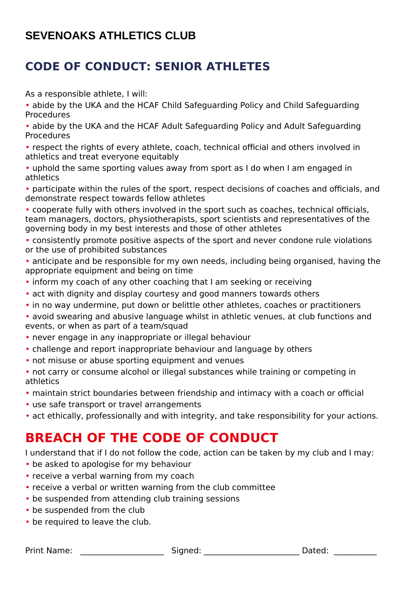## **CODE OF CONDUCT: SENIOR ATHLETES**

As a responsible athlete, I will:

• abide by the UKA and the HCAF Child Safeguarding Policy and Child Safeguarding Procedures

• abide by the UKA and the HCAF Adult Safeguarding Policy and Adult Safeguarding Procedures

• respect the rights of every athlete, coach, technical official and others involved in athletics and treat everyone equitably

• uphold the same sporting values away from sport as I do when I am engaged in athletics

• participate within the rules of the sport, respect decisions of coaches and officials, and demonstrate respect towards fellow athletes

• cooperate fully with others involved in the sport such as coaches, technical officials, team managers, doctors, physiotherapists, sport scientists and representatives of the governing body in my best interests and those of other athletes

• consistently promote positive aspects of the sport and never condone rule violations or the use of prohibited substances

• anticipate and be responsible for my own needs, including being organised, having the appropriate equipment and being on time

- inform my coach of any other coaching that I am seeking or receiving
- act with dignity and display courtesy and good manners towards others
- in no way undermine, put down or belittle other athletes, coaches or practitioners

• avoid swearing and abusive language whilst in athletic venues, at club functions and events, or when as part of a team/squad

- never engage in any inappropriate or illegal behaviour
- challenge and report inappropriate behaviour and language by others
- not misuse or abuse sporting equipment and venues
- not carry or consume alcohol or illegal substances while training or competing in athletics
- maintain strict boundaries between friendship and intimacy with a coach or official
- use safe transport or travel arrangements
- act ethically, professionally and with integrity, and take responsibility for your actions.

# **BREACH OF THE CODE OF CONDUCT**

I understand that if I do not follow the code, action can be taken by my club and I may:

- be asked to apologise for my behaviour
- receive a verbal warning from my coach
- receive a verbal or written warning from the club committee
- be suspended from attending club training sessions
- be suspended from the club
- be required to leave the club.

Print Name: The Communication of Signed: The Communication of Dated:  $\Box$  Dated: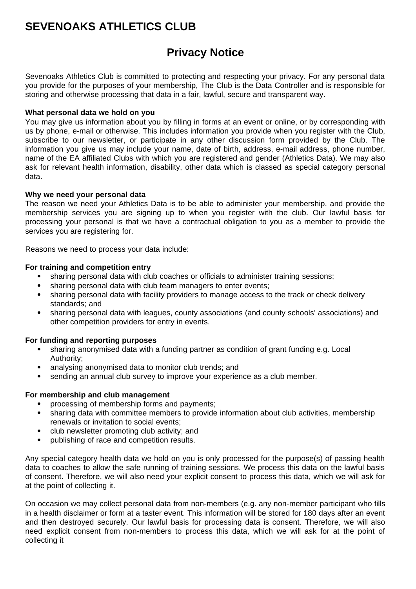### **SEVENOAKS ATHLETICS CLUB**

### **Privacy Notice**

Sevenoaks Athletics Club is committed to protecting and respecting your privacy. For any personal data you provide for the purposes of your membership, The Club is the Data Controller and is responsible for storing and otherwise processing that data in a fair, lawful, secure and transparent way.

#### **What personal data we hold on you**

You may give us information about you by filling in forms at an event or online, or by corresponding with us by phone, e-mail or otherwise. This includes information you provide when you register with the Club, subscribe to our newsletter, or participate in any other discussion form provided by the Club. The information you give us may include your name, date of birth, address, e-mail address, phone number, name of the EA affiliated Clubs with which you are registered and gender (Athletics Data). We may also ask for relevant health information, disability, other data which is classed as special category personal data.

#### **Why we need your personal data**

The reason we need your Athletics Data is to be able to administer your membership, and provide the membership services you are signing up to when you register with the club. Our lawful basis for processing your personal is that we have a contractual obligation to you as a member to provide the services you are registering for.

Reasons we need to process your data include:

#### **For training and competition entry**

- sharing personal data with club coaches or officials to administer training sessions;
- sharing personal data with club team managers to enter events;
- sharing personal data with facility providers to manage access to the track or check delivery standards; and
- sharing personal data with leagues, county associations (and county schools' associations) and other competition providers for entry in events.

#### **For funding and reporting purposes**

- sharing anonymised data with a funding partner as condition of grant funding e.g. Local Authority;
- analysing anonymised data to monitor club trends; and
- sending an annual club survey to improve your experience as a club member.

#### **For membership and club management**

- processing of membership forms and payments;
- sharing data with committee members to provide information about club activities, membership renewals or invitation to social events;
- club newsletter promoting club activity; and
- publishing of race and competition results.

Any special category health data we hold on you is only processed for the purpose(s) of passing health data to coaches to allow the safe running of training sessions. We process this data on the lawful basis of consent. Therefore, we will also need your explicit consent to process this data, which we will ask for at the point of collecting it.

On occasion we may collect personal data from non-members (e.g. any non-member participant who fills in a health disclaimer or form at a taster event. This information will be stored for 180 days after an event and then destroyed securely. Our lawful basis for processing data is consent. Therefore, we will also need explicit consent from non-members to process this data, which we will ask for at the point of collecting it